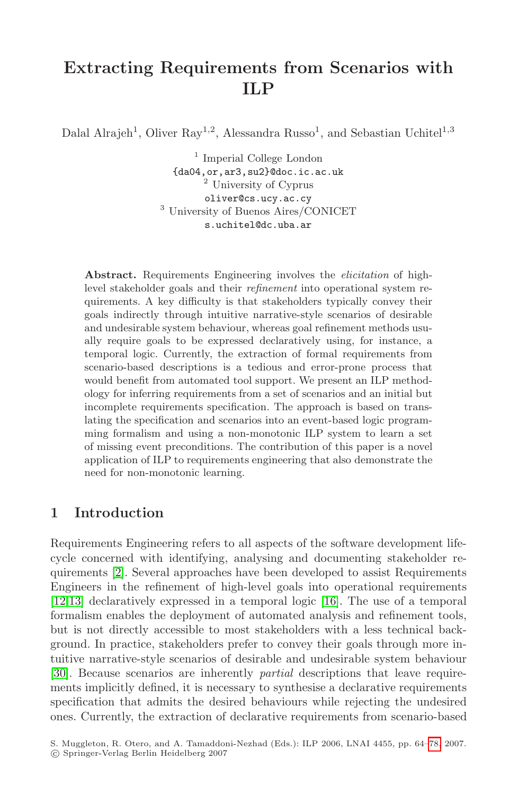# **Extracting Requirements from Scenarios with ILP**

Dalal Alrajeh<sup>1</sup>, Oliver Ray<sup>1,2</sup>, Alessandra Russo<sup>1</sup>, and Sebastian Uchitel<sup>1,3</sup>

<sup>1</sup> Imperial College London {da04,or,ar3,su2}@doc.ic.ac.uk <sup>2</sup> University of Cyprus oliver@cs.ucy.ac.cy <sup>3</sup> University of Buenos Aires/CONICET s.uchitel@dc.uba.ar

Abstract. Requirements Engineering involves the *elicitation* of highlevel stakeholder goals and their refinement into operational system requirements. A key difficulty is that stakeholders typically convey their goals indirectly through intuitive narrative-style scenarios of desirable and undesirable system behaviour, whereas goal refinement methods usually require goals to be expressed declaratively using, for instance, a temporal logic. Currently, the extraction of formal requirements from scenario-based descriptions is a tedious and error-prone process that would benefit from automated tool support. We present an ILP methodology for inferring requirements from a set of scenarios and an initial but incomplete requirements specification. The approach is based on translating the specification and scenarios into an event-based logic programming formalism and using a non-monotonic ILP system to learn a set of missing event preconditions. The contribution of this paper is a novel application of ILP to requirements engineering that also demonstrate the need for non-monotonic learning.

# **1 Introduction**

Requirements Engineering refers to all aspects of the software development lifecycle concerned with identifying, analysing and documenting stakeholder requirements [2]. Several approaches have been developed to assist Requirements Engineers in the refinement of high-level goals into operational requirements [12,13] declaratively expressed in a temporal logic [16]. The use of a temporal formalism enables the deployment of automated analysis and refinement tools, but is not directly accessible to most stakeholders [with](#page-14-0) a less technical background. In practice, stakeholders prefer to convey their goals through more intuitive narrative-style scenarios of desirable and undesirable system behaviour [30]. Because scenarios are inherently partial descriptions that leave requirements implicitly defined, it is necessary to synthesise a declarative requirements specification that admits the desired behaviours while rejecting the undesired ones. Currently, the extraction of declarative requirements from scenario-based

S. Muggleton, R. Otero, and A. Tamaddoni-Nezhad (Eds.): ILP 2006, LNAI 4455, pp. 64–78, 2007. -c Springer-Verlag Berlin Heidelberg 2007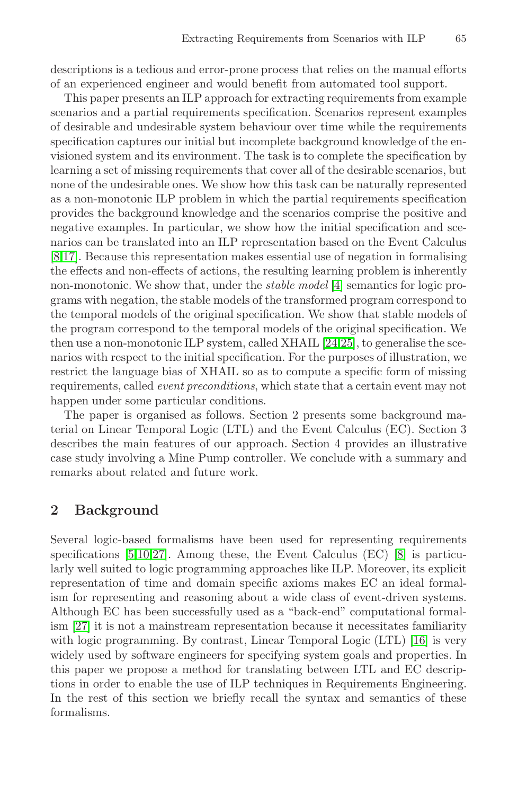descriptions is a tedious and error-prone process that relies on the manual efforts of an experienced engineer and would benefit from automated tool support.

This paper presents an ILP approach for extracting requirements from example scenarios and a partial requirements specification. Scenarios represent examples of desirable and undesirable system behaviour over time while the requirements specification captures our initial but incomplete background knowledge of the envisioned system and its environment. The task is to complete the specification by learning a set of missing requiremen[ts](#page-13-0) that cover all of the desirable scenarios, but none of the undesirable ones. We show how this task can be naturally represented as a non-monotonic ILP problem in which the partial requirements specification provides the background knowledge and the scenarios comprise the positive and negative examples. In particular, [we](#page-14-1) [sh](#page-14-2)ow how the initial specification and scenarios can be translated into an ILP representation based on the Event Calculus [8,17]. Because this representation makes essential use of negation in formalising the effects and non-effects of actions, the resulting learning problem is inherently non-monotonic. We show that, under the *stable model* [4] semantics for logic programs with negation, the stable models of the transformed program correspond to the temporal models of the original specification. We show that stable models of the program correspond to the temporal models of the original specification. We then use a non-monotonic ILP system, called XHAIL [24,25], to generalise the scenarios with respect to the initial specification. For the purposes of illustration, we restrict the language bias of XHAIL so as to compute a specific form of missing requirements, called event preconditions, which state that a certain event may not happen under some particular conditions.

The paper is organised as follows. Section 2 presents some background material on Linear Temporal Logic (LTL) and the Event Calculus (EC). Section 3 [des](#page-14-4)cribes the main features of our approach. [Sec](#page-13-1)tion 4 provides an illustrative case study involving a Mine Pump controller. We conclude with a summary and remarks about related and future work.

## **2 Background**

Several logic-based formalisms have been used [for](#page-14-5) representing requirements specifications [5,10,27]. Among these, the Event Calculus (EC) [8] is particularly well suited to logic programming approaches like ILP. Moreover, its explicit representation of time and domain specific axioms makes EC an ideal formalism for representing and reasoning about a wide class of event-driven systems. Although EC has been successfully used as a "back-end" computational formalism [27] it is not a mainstream representation because it necessitates familiarity with logic programming. By contrast, Linear Temporal Logic (LTL) [16] is very widely used by software engineers for specifying system goals and properties. In this paper we propose a method for translating between LTL and EC descriptions in order to enable the use of ILP techniques in Requirements Engineering. In the rest of this section we briefly recall the syntax and semantics of these formalisms.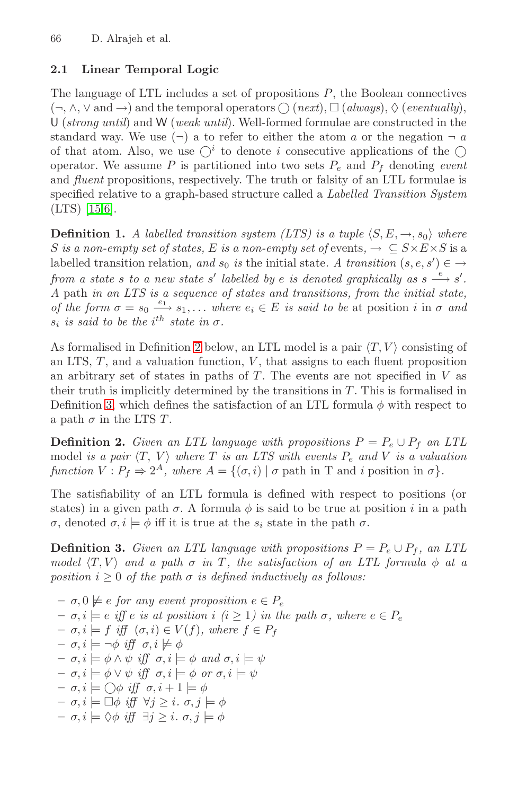#### **2.1 Linear Temporal Logic**

The language of LTL includes a set of propositions  $P$ , the Boolean connectives  $(\neg, \wedge, \vee \text{ and } \rightarrow)$  and the temporal operators  $\bigcirc$  (*next*),  $\Box$  (*always*),  $\Diamond$  (*eventually*), U (strong until) and W (weak until). Well-formed formulae are constructed in the standard way. We use  $(\neg)$  a to refer to either the atom a or the negation  $\neg a$ of that atom. Also, we use  $\bigcirc^i$  to denote i consecutive applications of the  $\bigcirc$ operator. We assume P is partitioned into two sets  $P_e$  and  $P_f$  denoting event and fluent propositions, respectively. The truth or falsity of an LTL formulae is specified relative to a graph-based structure called a Labelled Transition System (LTS) [15,6].

**Definit[ion](#page-2-0) 1.** A labelled transition system (LTS) is a tuple  $\langle S, E, \rightarrow, s_0 \rangle$  where S is a non-empty set of states, E is a non-empty set of events,  $\rightarrow \subseteq S \times E \times S$  is a labelled transition relation, and  $s_0$  is the initial state. A transition  $(s, e, s') \in \rightarrow$ from a state s to a new state s' labelled by e is denoted graphically as  $s \stackrel{e}{\longrightarrow} s'$ . A path in an LTS is a sequence of states and transitions, from the initial state, of the form  $\sigma = s_0 \stackrel{e_1}{\longrightarrow} s_1, \ldots$  where  $e_i \in E$  is said to be at position i in  $\sigma$  and  $s_i$  is said to be the i<sup>th</sup> state in  $\sigma$ .

<span id="page-2-0"></span>As formalised in Definition 2 below, an LTL model is a pair  $\langle T, V \rangle$  consisting of an LTS,  $T$ , and a valuation function,  $V$ , that assigns to each fluent proposition an arbitrary set of states in paths of  $T$ . The events are not specified in  $V$  as their truth is implicitly determined by the transitions in  $T$ . This is formalised in Definition 3, which defines the satisfaction of an LTL formula  $\phi$  with respect to a path  $\sigma$  in the LTS T.

**Definition 2.** Given an LTL language with propositions  $P = P_e \cup P_f$  an LTL model is a pair  $\langle T, V \rangle$  where T is an LTS with events  $P_e$  and V is a valuation function  $V : P_f \Rightarrow 2^A$ , where  $A = \{(\sigma, i) \mid \sigma \text{ path in } T \text{ and } i \text{ position in } \sigma\}.$ 

The satisfiability of an LTL formula is defined with respect to positions (or states) in a given path  $\sigma$ . A formula  $\phi$  is said to be true at position i in a path σ, denoted  $\sigma, i \models \phi$  iff it is true at the  $s_i$  state in the path σ.

**Definition 3.** Given an LTL language with propositions  $P = P_e \cup P_f$ , an LTL model  $\langle T, V \rangle$  and a path  $\sigma$  in T, the satisfaction of an LTL formula  $\phi$  at a position  $i \geq 0$  of the path  $\sigma$  is defined inductively as follows:

- $\sigma$   $\in$   $\mathcal{P}_e$   $\sigma$   $\in$   $\mathcal{P}_e$  *for any event proposition e*  $\in$   $\mathcal{P}_e$
- $\sigma, i \models e$  iff e is at position i  $(i \geq 1)$  in the path  $\sigma$ , where  $e \in P_e$
- $\sigma, i \models f \text{ iff } (\sigma, i) \in V(f), \text{ where } f \in P_f$
- $\sigma, i \models \neg \phi \text{ iff } \sigma, i \not\models \phi$
- $-σ, i |= φ ∧ ψ if σ, i |= φ and σ, i |= ψ$
- $\sigma, i \models \phi \lor \psi \text{ iff } \sigma, i \models \phi \text{ or } \sigma, i \models \psi$
- $\sigma, i \models \bigcirc \phi \text{ iff } \sigma, i + 1 \models \phi$
- $\sigma, i \models \Box \phi \text{ iff } \forall j \geq i. \sigma, j \models \phi$
- $-σ, i |= \lozenge φ \text{ iff } \exists j \ge i. σ, j |= φ$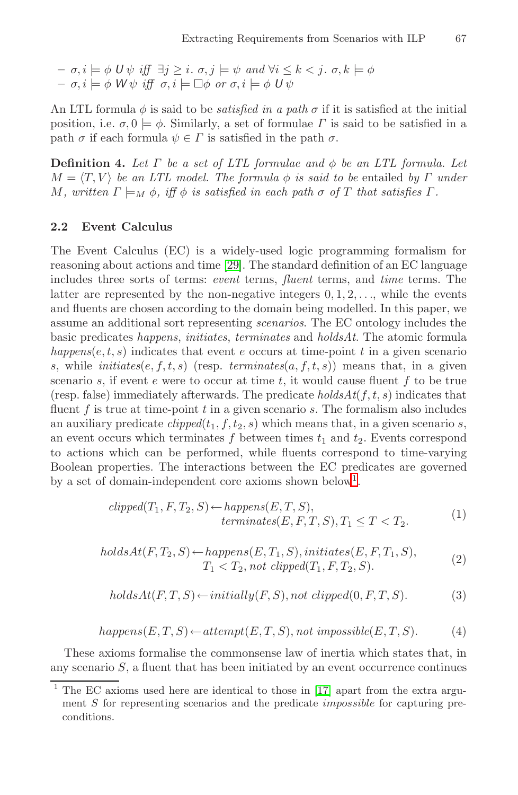**–**  $\sigma, i \models \phi$  U ψ iff ∃j ≥ i.  $\sigma, j \models \psi$  and  $\forall i \leq k < j$ .  $\sigma, k \models \phi$  $\begin{array}{c} \mathsf{I} - \sigma, i \models \phi \ \mathsf{W} \, \psi \ \mathsf{iff} \ \ \sigma, i \models \Box \phi \ \mathsf{or} \ \sigma, i \models \phi \ \mathsf{U} \, \psi \end{array}$ 

An LTL formula  $\phi$  is said to be *satisfied in a path*  $\sigma$  if it is satisfied at the initial position, i.e.  $\sigma, 0 \models \phi$ . Similarly, a set of formulae *Γ* is said to be satisfied in a path  $\sigma$  if each formula  $\psi \in \Gamma$  is satisfied in the path  $\sigma$ .

**Definition 4.** [Le](#page-14-6)t  $\Gamma$  be a set of LTL formulae and  $\phi$  be an LTL formula. Let  $M = \langle T, V \rangle$  be an LTL model. The formula  $\phi$  is said to be entailed by  $\Gamma$  under M, written  $\Gamma \models_M \phi$ , iff  $\phi$  is satisfied in each path  $\sigma$  of  $T$  that satisfies  $\Gamma$ .

#### **2.2 Event Calculus**

The Event Calculus (EC) is a widely-used logic programming formalism for reasoning about actions and time [29]. The standard definition of an EC language includes three sorts of terms: event terms, fluent terms, and time terms. The latter are represented by the non-negative integers  $0, 1, 2, \ldots$ , while the events and fluents are chosen according to the domain being modelled. In this paper, we assume an additional sort representing scenarios. The EC ontology includes the basic predicates happens, initiates, terminates and holdsAt. The atomic formula happens(e, t, s) indicates that event e occurs at time-point t in a given scenario s, while *initiates*(e, f, t, s) (resp. ter[min](#page-3-0)ates(a, f, t, s)) means that, in a given scenario  $s$ , if event  $e$  were to occur at time  $t$ , it would cause fluent  $f$  to be true (resp. false) immediately afterwards. The predicate  $holdsAt(f, t, s)$  indicates that fluent  $f$  is true at time-point  $t$  in a given scenario  $s$ . The formalism also includes an auxiliary predicate  $clipped(t_1, f, t_2, s)$  which means that, in a given scenario s, an event occurs which terminates f between times  $t_1$  and  $t_2$ . Events correspond to actions which can be performed, while fluents correspond to time-varying Boolean properties. The interactions between the EC predicates are governed by a set of domain-independent core axioms shown below<sup>1</sup>.

$$
clipped(T_1, F, T_2, S) \leftarrow happens(E, T, S),
$$
  

$$
terminates(E, F, T, S), T_1 \le T < T_2.
$$

$$
\tag{1}
$$

$$
holdsAt(F, T_2, S) \leftarrow happens(E, T_1, S), initiates(E, F, T_1, S),
$$
  

$$
T_1 < T_2, not \mathit{clipped}(T_1, F, T_2, S).
$$
 (2)

$$
holdsAt(F, T, S) \leftarrow initially(F, S), not \ clipped(0, F, T, S). \tag{3}
$$

$$
happens(E, T, S) \leftarrow attempt(E, T, S), not impossible(E, T, S).
$$
 (4)

<span id="page-3-0"></span>These axioms formalise the commonsense law of inertia which states that, in any scenario  $S$ , a fluent that has been initiated by an event occurrence continues

<sup>1</sup> The EC axioms used here are identical to those in [17] apart from the extra argument S for representing scenarios and the predicate *impossible* for capturing preconditions.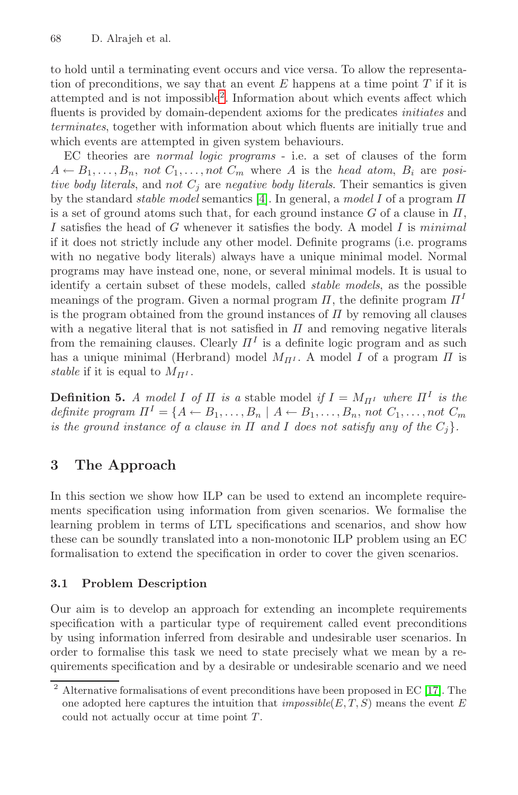to hold until a terminating event occurs and vice versa. To allow the representation of precondition[s, w](#page-13-0)e say that an event  $E$  happens at a time point  $T$  if it is attempted and is not impossible<sup>2</sup>. Information about which events affect which fluents is provided by domain-dependent axioms for the predicates initiates and terminates, together with information about which fluents are initially true and which events are attempted in given system behaviours.

EC theories are normal logic programs - i.e. a set of clauses of the form  $A \leftarrow B_1, \ldots, B_n$ , not  $C_1, \ldots, not \, C_m$  where A is the head atom,  $B_i$  are positive body literals, and not  $C_j$  are negative body literals. Their semantics is given by the standard stable model semantics [4]. In general, a model I of a program Π is a set of ground atoms such that, for each ground instance G of a clause in  $\Pi$ . I satisfies the head of G whenever it satisfies the body. A model I is minimal if it does not strictly include any other model. Definite programs (i.e. programs with no negative body literals) always have a unique minimal model. Normal programs may have instead one, none, or several minimal models. It is usual to identify a certain subset of these models, called stable models, as the possible meanings of the program. Given a normal program  $\Pi$ , the definite program  $\Pi^I$ is the program obtained from the ground instances of  $\Pi$  by removing all clauses with a negative literal that is not satisfied in  $\Pi$  and removing negative literals from the remaining clauses. Clearly  $\Pi^I$  is a definite logic program and as such has a unique minimal (Herbrand) model  $M_{\Pi}$ . A model I of a program  $\Pi$  is stable if it is equal to  $M_{\Pi^I}$ .

**Definition 5.** A model I of  $\Pi$  is a stable model if  $I = M_{\Pi}$  where  $\Pi^I$  is the definite program  $\Pi^I = \{A \leftarrow B_1, \ldots, B_n \mid A \leftarrow B_1, \ldots, B_n, \text{not } C_1, \ldots, \text{not } C_m\}$ is the ground instance of a clause in  $\Pi$  and  $I$  does not satisfy any of the  $C_i$ .

# **3 The Approach**

In this section we show how ILP can be used to extend an incomplete requirements specification using information from given scenarios. We formalise the learning problem in terms of LTL specifications and scenarios, and show how these can be soundly translated into a non-monotonic ILP problem using an EC formalisation to extend the specification in order to cover the given scenarios.

#### **3.1 Problem Description**

Our aim is to develop an approach for extending an incomplete requirements specification with a particular type of requirement called event preconditions by using information inferred from desirable and undesirable user scenarios. In order to formalise this task we need to state precisely what we mean by a requirements specification and by a desirable or undesirable scenario and we need

<sup>&</sup>lt;sup>2</sup> Alternative formalisations of event preconditions have been proposed in EC [17]. The one adopted here captures the intuition that  $impossible(E,T,S)$  means the event E could not actually occur at time point T.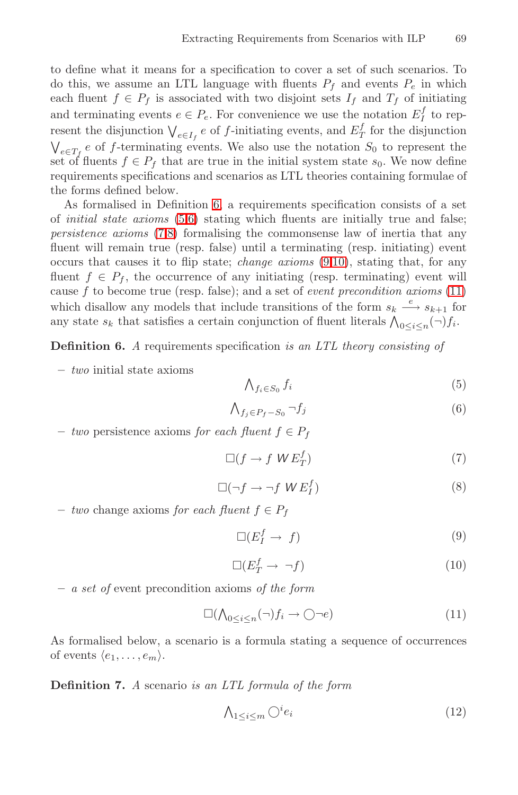to define what it means for a specification to cover a set of such scenarios. To do this, we assume an LTL language with fluents  $P_f$  and events  $P_e$  in which each [f](#page-5-0)luent  $f \in P_f$  is associated with two disjoint sets  $I_f$  and  $T_f$  of initiating a[n](#page-5-3)[d t](#page-5-4)[er](#page-5-1)[m](#page-5-2)inating events  $e \in P_e$ . For convenience we use the notation  $E_I^f$  to represent the disjunction  $\bigvee_{e \in I_f} e$  of f-initiating events, and  $E_T^f$  for the disjunction  $\bigvee_{e \in T_f} e$  $\bigvee_{e \in T_f} e$  $\bigvee_{e \in T_f} e$  of f-terminating events. [We](#page-5-6) also use the notation  $S_0$  to represent the set of fluents  $f \in P_f$  that are true in the initial system state  $s_0$ . We now define requirements specifications and scenarios as LTL theories [con](#page-5-7)taining formulae of the forms defined below.

<span id="page-5-1"></span><span id="page-5-0"></span>As formalised in Definition 6, a requirements specification consists of a set of *initial state axioms*  $(5,6)$  stating which fluents are initially true and false; persistence axioms (7,8) formalising the commonsense law of inertia that any fluent will remain true (resp. false) until a terminating (resp. initiating) event occurs that causes it to flip state; change axioms (9,10), stating that, for any fluent  $f \in P_f$ , the occurrence of any initiating (resp. terminating) event will cause  $f$  to become true (resp. false); and a set of *event precondition axioms*  $(11)$ which disallow any models that include transitions of the form  $s_k \stackrel{e}{\longrightarrow} s_{k+1}$  for any state  $s_k$  that satisfies a certain conjunction of fluent literals  $\bigwedge_{0 \leq i \leq n} (\neg) f_i$ .

<span id="page-5-3"></span><span id="page-5-2"></span>**Definition 6.** A requirements specification is an LTL theory consisting of

 $\overline{1}$ 

<span id="page-5-4"></span>**–** two initial state axioms

$$
\bigwedge_{f_i \in S_0} f_i \tag{5}
$$

$$
\bigwedge_{f_j \in P_f - S_0} \neg f_j \tag{6}
$$

<span id="page-5-6"></span><span id="page-5-5"></span> $−$  two persistence axioms for each fluent  $f ∈ P_f$ 

$$
\Box(f \to f \; W E_T^f) \tag{7}
$$

$$
\Box(\neg f \to \neg f \; W E_I^f) \tag{8}
$$

<span id="page-5-7"></span> $− two change axioms for each fluent  $f ∈ P_f$$ 

$$
\Box (E_I^f \to f) \tag{9}
$$

$$
\Box (E_T^f \to \neg f) \tag{10}
$$

**–** a set of event precondition axioms of the form

$$
\Box(\bigwedge_{0\leq i\leq n}(\neg)f_i\to\bigcirc\neg e)
$$
\n(11)

As formalised below, a scenario is a formula stating a sequence of occurrences of events  $\langle e_1,\ldots,e_m\rangle$ .

**Definition 7.** A scenario is an LTL formula of the form

$$
\bigwedge_{1 \le i \le m} \bigcirc^{i} e_i \tag{12}
$$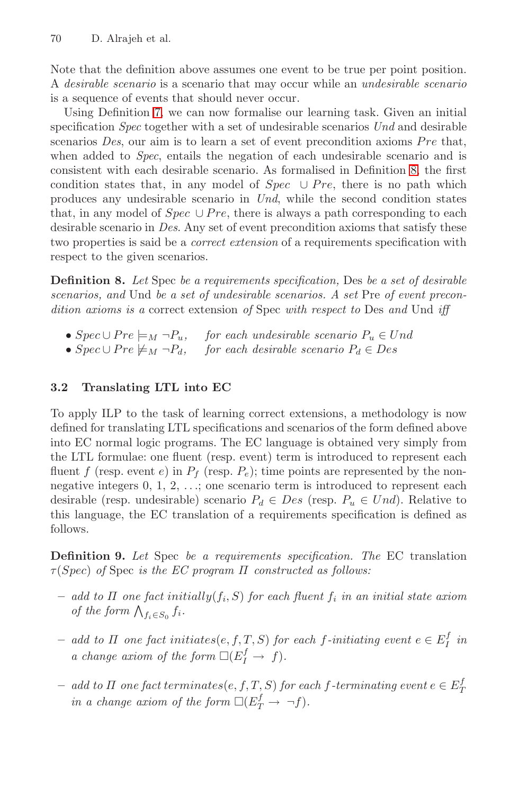Note that the definition above assumes one event [to](#page-6-0) be true per point position. A desirable scenario is a scenario that may occur while an undesirable scenario is a sequence of events that should never occur.

<span id="page-6-0"></span>Using Definition 7, we can now formalise our learning task. Given an initial specification *Spec* together with a set of undesirable scenarios Und and desirable scenarios Des, our aim is to learn a set of event precondition axioms Pre that, when added to Spec, entails the negation of each undesirable scenario and is consistent with each desirable scenario. As formalised in Definition 8, the first condition states that, in any model of  $Spec \cup Pre$ , there is no path which produces any undesirable scenario in Und, while the second condition states that, in any model of  $Spec \cup Pre$ , there is always a path corresponding to each desirable scenario in Des. Any set of event precondition axioms that satisfy these two properties is said be a correct extension of a requirements specification with respect to the given scenarios.

**Definition 8.** Let Spec be a requirements specification, Des be a set of desirable scenarios, and Und be a set of undesirable scenarios. A set Pre of event precondition axioms is a correct extension of Spec with respect to Des and Und iff

- Spec  $\cup$  Pre  $\models_M \neg P_u$ , for each undesirable scenario  $P_u \in Und$
- Spec  $\cup$  Pre  $\not\models_M \neg P_d$ , for each desirable scenario  $P_d \in Des$

## **3.2 Translating LTL into EC**

To apply ILP to the task of learning correct extensions, a methodology is now defined for translating LTL specifications and scenarios of the form defined above into EC normal logic programs. The EC language is obtained very simply from the LTL formulae: one fluent (resp. event) term is introduced to represent each fluent f (resp. event e) in  $P_f$  (resp.  $P_e$ ); time points are represented by the nonnegative integers 0, 1, 2, ...; one scenario term is introduced to represent each desirable (resp. undesirable) scenario  $P_d \in Des$  (resp.  $P_u \in Und$ ). Relative to this language, the EC translation of a requirements specification is defined as follows.

**Definition 9.** Let Spec be a requirements specification. The EC translation  $\tau(Spec)$  of Spec is the EC program  $\Pi$  constructed as follows:

- $-$  add to  $\Pi$  one fact initially( $f_i$ , S) for each fluent  $f_i$  in an initial state axiom of the form  $\bigwedge_{f_i \in S_0} f_i$ .
- $-$  add to Π one fact initiates(e, f, T, S) for each f-initiating event  $e ∈ E_I^f$  in a change axiom of the form  $\square (E_I^f \rightarrow f)$ .
- $-$  add to  $\Pi$  one fact terminates $(e, f, T, S)$  for each  $f$ -terminating event  $e \in E_{T}^{f}$ in a change axiom of the form  $\Box (E_T^f \rightarrow \neg f)$ .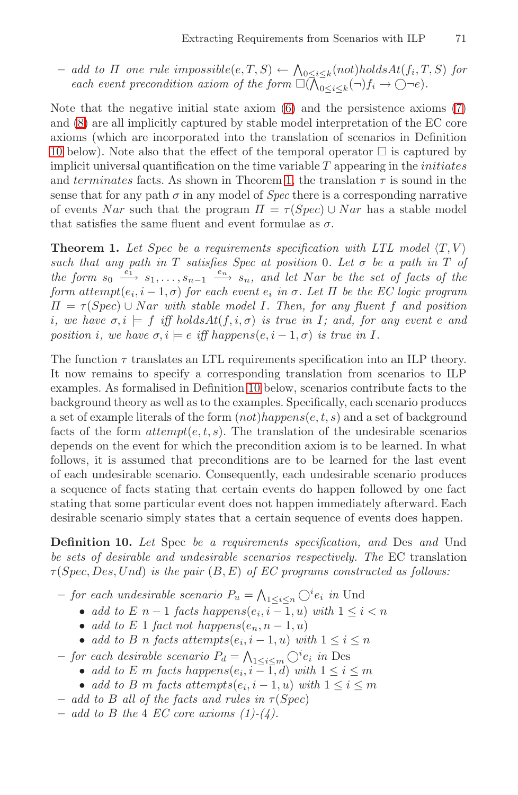$-$  add to  $\Pi$  one rule i[mp](#page-7-0)ossible(e, T, S) ←  $\bigwedge_{0 \leq i \leq k} (not) holdsAt(f_i, T, S)$  for each event precondition axiom of the form  $\square(\bigwedge_{0\leq i\leq k}^{\infty}(\neg)f_i\to\bigcirc\neg e)$ .

<span id="page-7-0"></span>Note that the negative initial state axiom (6) and the persistence axioms (7) and (8) are all implicitly captured by stable model interpretation of the EC core axioms (which are incorporated into the translation of scenarios in Definition 10 below). Note also that the effect of the temporal operator  $\Box$  is captured by implicit universal quantification on the time variable  $T$  appearing in the *initiates* and terminates facts. As shown in Theorem 1, the translation  $\tau$  is sound in the sense that for any path  $\sigma$  in any model of *Spec* there is a corresponding narrative of events Nar such that the program  $\Pi = \tau(Spec) \cup Nar$  has a stable model that satisfies the same fluent and event formulae as  $\sigma$ .

**Theorem 1.** Let Spec be a requirements specification with LTL model  $\langle T, V \rangle$ such that any path in T satisfies Spec at position 0. Let  $\sigma$  be a path in T of the form  $s_0 \stackrel{e_1}{\longrightarrow} s_1, \ldots, s_{n-1} \stackrel{e_n}{\longrightarrow} s_n$ , and let Nar be the set of facts of the form attempt( $e_i$ ,  $i - 1$ ,  $\sigma$ ) for each event  $e_i$  in  $\sigma$ . Let  $\Pi$  be the EC logic program  $\Pi = \tau(Spec) \cup Nar$  with stable model I. Then, for any fluent f and position i, we have  $\sigma, i \models f$  iff holds  $At(f, i, \sigma)$  is true in I; and, for any event e and position i, we have  $\sigma, i \models e$  iff happens $(e, i - 1, \sigma)$  is true in I.

<span id="page-7-1"></span>The function  $\tau$  translates an LTL requirements specification into an ILP theory. It now remains to specify a corresponding translation from scenarios to ILP examples. As formalised in Definition 10 below, scenarios contribute facts to the background theory as well as to the examples. Specifically, each scenario produces a set of example literals of the form  $(not) happens(e, t, s)$  and a set of background facts of the form  $attempt(e,t,s)$ . The translation of the undesirable scenarios depends on the event for which the precondition axiom is to be learned. In what follows, it is assumed that preconditions are to be learned for the last event of each undesirable scenario. Consequently, each undesirable scenario produces a sequence of facts stating that certain events do happen followed by one fact stating that some particular event does not happen immediately afterward. Each desirable scenario simply states that a certain sequence of events does happen.

**Definition 10.** Let Spec be a requirements specification, and Des and Und be sets of desirable and undesirable scenarios respectively. The EC translation  $\tau(Spec,Des, Und)$  is the pair  $(B, E)$  of EC programs constructed as follows:

- **−** for each undesirable scenario  $P_u = \bigwedge_{1 \le i \le n} \bigcirc^{i} e_i$  in Und
	- add to E  $n-1$  facts happens $(e_i, i-1, u)$  with  $1 \leq i < n$
	- add to E 1 fact not happens $(e_n, n-1, u)$
	- add to B n facts attempts $(e_i, i-1, u)$  with  $1 \leq i \leq n$
- $-$  for each desirable scenario  $P_d = \bigwedge_{1 \leq i \leq m} \bigcirc^{i} e_i$  in Des
	- add to E m facts happens $(e_i, i \overline{1}, d)$  with  $1 \leq i \leq m$
	- add to B m facts attempts $(e_i, i-1, u)$  with  $1 \leq i \leq m$
- **–** add to B all of the facts and rules in τ(Spec)
- $-$  add to B the 4 EC core axioms  $(1)-(4)$ .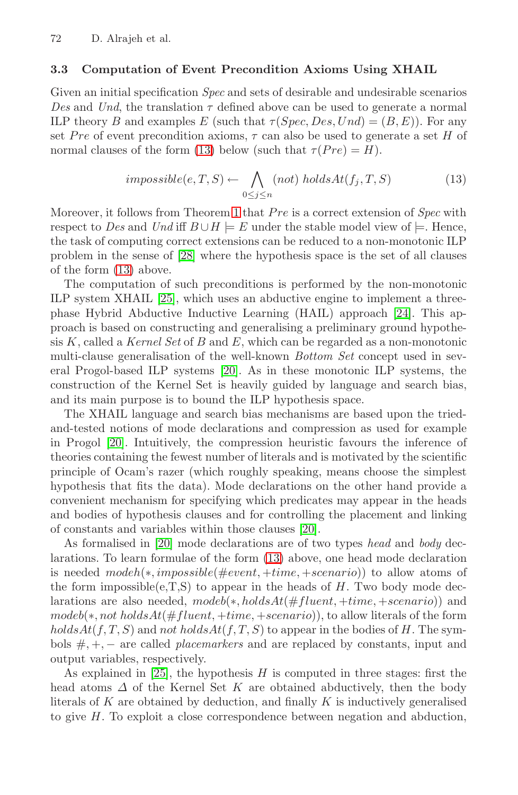#### <span id="page-8-0"></span>**3.3 Computation of Event Precondition Axioms Using XHAIL**

Given an initial specification Spec and sets of desirable and undesirable scenarios Des and Und, t[he](#page-7-0) translation  $\tau$  defined above can be used to generate a normal ILP theory B and examples E (such that  $\tau(Spec,Des, Und) = (B, E)$ ). For any set Pre of event precondition axioms,  $\tau$  can also be used to generate a set H of norm[al](#page-14-7) [c](#page-14-7)lauses of the form (13) below (such that  $\tau(Pre) = H$ ).

$$
impossible(e, T, S) \leftarrow \bigwedge_{0 \le j \le n} (not) holdsAt(f_j, T, S)
$$
\n(13)

Moreover, it follow[s](#page-14-1) from Theorem 1 th[a](#page-14-1)t Pre is a correct extension of Spec with respect to Des and Und iff  $B \cup H \models E$  under the stable model view of  $\models$ . Hence, the task of computing correct extensions can be reduced to a non-monotonic ILP problem in th[e se](#page-14-8)nse of [28] where the hypothesis space is the set of all clauses of the form (13) above.

The computation of such preconditions is performed by the non-monotonic ILP system XHAIL [25], which uses an abductive engine to implement a threephase Hybrid Abductive Inductive Learning (HAIL) approach [24]. This approach is based on constructing and generalising a preliminary ground hypothesis  $K$ , called a Kernel Set of B and E, which can be regarded as a non-monotonic multi-clause generalisation of the well-known Bottom Set concept used in several Progol-based ILP systems [20]. As in these monotonic ILP systems, the construction of the Kernel Set is heavily guided by language and search bias, and its main purpose is to bound the ILP hypothesis space.

The XHAIL language and [sea](#page-14-8)rch bias mechanisms are based upon the trieda[nd-](#page-14-8)tested notions of mode declarations and compression as used for example in Progol [20]. Intuit[ivel](#page-8-0)y, the compression heuristic favours the inference of theories containing the fewest number of literals and is motivated by the scientific principle of Ocam's razer (which roughly speaking, means choose the simplest hypothesis that fits the data). Mode declarations on the other hand provide a convenient mechanism for specifying which predicates may appear in the heads and bodies of hypothesis clauses and for controlling the placement and linking of constants and variables within those clauses [20].

As formalised in [20] mode declarations are of two types head and body dec[lara](#page-14-2)tions. To learn formulae of the form (13) above, one head mode declaration is needed modeh(∗,impossible(#event, +time, +scenario)) to allow atoms of the form impossible( $e,$ T,S) to appear in the heads of H. Two body mode declarations are also needed,  $modeb(*, holdsAt(\#fluent, +time, +scenario))$  and  $modeb(*, not holdsAt(\#fluent, +time, +scenario)),$  to allow literals of the form  $holdsAt(f, T, S)$  and not holds  $At(f, T, S)$  to appear in the bodies of H. The symbols  $\#, +, -$  are called *placemarkers* and are replaced by constants, input and output variables, respectively.

As explained in [25], the hypothesis  $H$  is computed in three stages: first the head atoms  $\Delta$  of the Kernel Set K are obtained abductively, then the body literals of  $K$  are obtained by deduction, and finally  $K$  is inductively generalised to give H. To exploit a close correspondence between negation and abduction,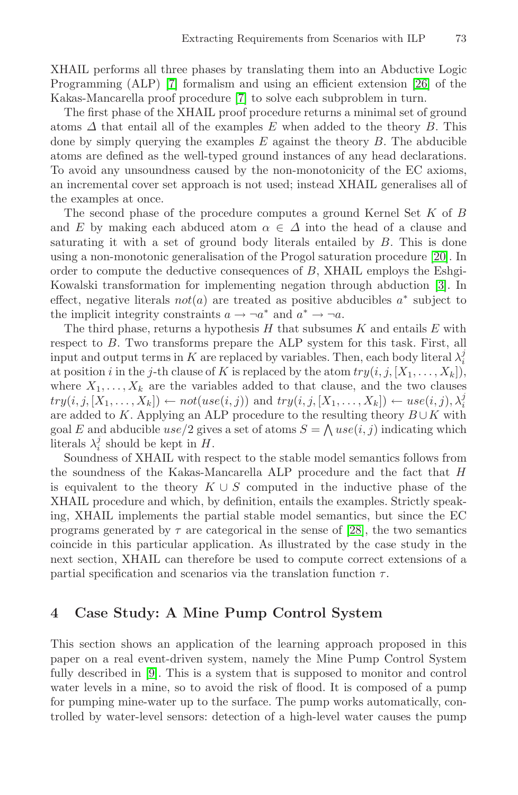XHAIL performs all three phases by translating them into an Abductive Logic Programming (ALP) [7] formalism and using an efficient extension [26] of the Kakas-Mancarella proof procedure [7] to solve each subproblem in turn.

The first phase of the XHAIL proof procedure returns a minimal set of ground atoms  $\Delta$  that entail all of the examples E when added to the theory B. This done by simply querying [the](#page-14-8) examples  $E$  against the theory  $B$ . The abducible atoms are defined as the well-typed ground instances of any head declarations. To avoid any unsoundness caused by the non-monoto[nic](#page-13-2)ity of the EC axioms, an incremental cover set approach is not used; instead XHAIL generalises all of the examples at once.

The second phase of the procedure computes a ground Kernel Set K of B and E by making each abduced atom  $\alpha \in \Delta$  into the head of a clause and saturating it with a set of ground body literals entailed by B. This is done using a non-monotonic generalisation of the Progol saturation procedure [20]. In order to compute the deductive consequences of B, XHAIL employs the Eshgi-Kowalski transformation for implementing negation through abduction [3]. In effect, negative literals  $not(a)$  are treated as positive abducibles  $a^*$  subject to the implicit integrity constraints  $a \to \neg a^*$  and  $a^* \to \neg a$ .

The third phase, returns a hypothesis  $H$  that subsumes  $K$  and entails  $E$  with respect to B. Two transforms prepare the ALP system for this task. First, all input and output terms in K are replaced by variables. Then, each body literal  $\lambda_i^j$ at position i in the j-th clause of K is replaced by the atom  $try(i, j, [X_1, \ldots, X_k])$ , where  $X_1, \ldots, X_k$  are the variables added to that clause, and the two clauses  $try(i, j, [X_1, \ldots, X_k]) \leftarrow not(use(i, j))$  and  $try(i, j, [X_1, \ldots, X_k]) \leftarrow use(i, j), \lambda_i^j$ are added to K. Applying an ALP pr[oced](#page-14-7)ure to the resulting theory  $B\cup K$  with goal E and abducible use/2 gives a set of atoms  $S = \bigwedge use(i, j)$  indicating which literals  $\lambda_i^j$  should be kept in  $H$ .

Soundness of XHAIL with respect to the stable model semantics follows from the soundness of the Kakas-Mancarella ALP procedure and the fact that H is equivalent to the theory  $K \cup S$  computed in the inductive phase of the XHAIL procedure and which, by definition, entails the examples. Strictly speaking, XHAIL implements the partial stable model semantics, but since the EC programs generated by  $\tau$  are categorical in the sense of [28], the two semantics coincide in this particular application. As illustrated by the case study in the [ne](#page-13-3)xt section, XHAIL can therefore be used to compute correct extensions of a partial specification and scenarios via the translation function  $\tau$ .

### **4 Case Study: A Mine Pump Control System**

This section shows an application of the learning approach proposed in this paper on a real event-driven system, namely the Mine Pump Control System fully described in [9]. This is a system that is supposed to monitor and control water levels in a mine, so to avoid the risk of flood. It is composed of a pump for pumping mine-water up to the surface. The pump works automatically, controlled by water-level sensors: detection of a high-level water causes the pump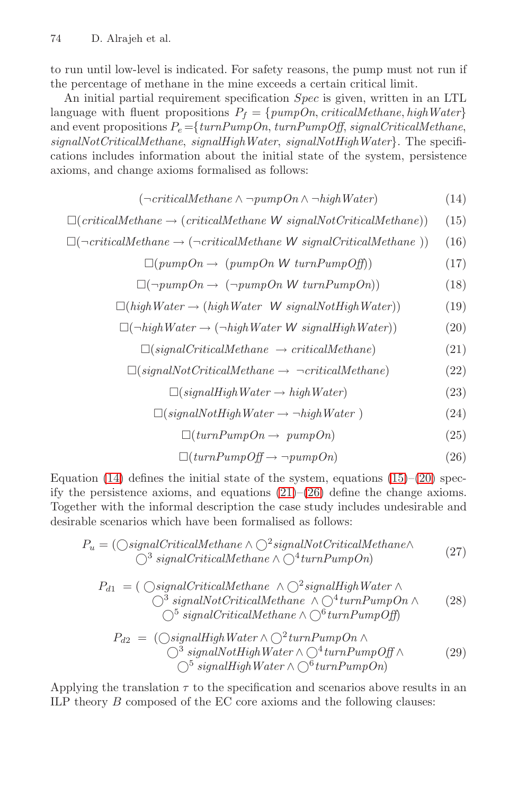to run until low-level is indicated. For safety reasons, the pump must not run if the percentage of methane in the mine exceeds a certain critical limit.

<span id="page-10-0"></span>An initial partial requirement specification Spec is given, written in an LTL language with fluent propositions  $P_f = \{pumpOn, criticalMethod, highWater\}$ and event propositions  $P_e = \{turnPumpOn, turnPumpOff, signalCriticalMethod,$ signalNotCriticalMethane, signalHighWater, signalNotHighWater}. The specifications includes information about the initial state of the system, persistence axioms, and change axioms formalised as follows:

$$
(\neg criticalMethod \land \neg pumpOn \land \neg highWater) \tag{14}
$$

<span id="page-10-1"></span> $\Box(criticalMethode \rightarrow (criticalMethode \, W \, signalNotCriticalMethode))$  (15)

<span id="page-10-2"></span>
$$
\Box(\neg criticalMethodname \rightarrow (\neg criticalMethodname \ W \ signal CriticalMethodname))) \quad (16)
$$

 $\Box(pumpOn \rightarrow (pumpOn \text{ W } turnPumpOff))$  (17)

$$
\Box(\neg \text{pumpOn} \rightarrow (\neg \text{pumpOn} \ W \ \text{turnPumpOn})) \tag{18}
$$

$$
\Box(highWater \rightarrow (highWater \ W signalNotHighWater)) \tag{19}
$$

<span id="page-10-3"></span>
$$
\Box(\neg highWater \rightarrow (\neg highWater \ W \ signal High Water)) \tag{20}
$$

- $\Box (signal CriticalMethod \rightarrow criticalMethod)$  (21)
- $\Box (signalNotCriticalMethod the \rightarrow \neg criticalMethod (22)$  $\Box (signalNotCriticalMethod the \rightarrow \neg criticalMethod (22)$  $\Box (signalNotCriticalMethod the \rightarrow \neg criticalMethod (22)$  $\Box (signalNotCriticalMethod the \rightarrow \neg criticalMethod (22)$  $\Box (signalNotCriticalMethod the \rightarrow \neg criticalMethod (22)$ 
	- $\Box (signalHighWater \rightarrow highWater)$  (23)

$$
\Box (signalNotHighWater \rightarrow \neg highWater) \tag{24}
$$

$$
\Box (turnPumpOn \to \text{pumpOn}) \tag{25}
$$

$$
\Box (turnPumpOff \to \neg pumpOn) \tag{26}
$$

Equation (14) defines the initial state of the system, equations  $(15)$ – $(20)$  specify the persistence axioms, and equations  $(21)$ – $(26)$  define the change axioms. Together with the informal description the case study includes undesirable and desirable scenarios which have been formalised as follows:

$$
P_u = (\bigcirc \text{signalCriticalMethod} \land \bigcirc^2 \text{signalNotCriticalMethod} \land \bigcirc^3 \text{signalCriticalMethod} \land \bigcirc^4 \text{turnPumpOn}) \tag{27}
$$

$$
P_{d1} = (\text{O}signalCriticalMethod \land \text{O}^2 signal High Water \land \text{O}^3 signal NotCriticalMethod \land \text{O}^4 turnPumpOn \land \text{O}^5 signalCriticalMethod \land \text{O}^6 turnPumpOff)
$$
\n(28)

$$
P_{d2} = (\bigcirc_{signalHighWater \wedge \bigcirc^{2} turnPumpOn \wedge} \bigcirc^{3} signalNotHigh Water \wedge \bigcirc^{4} turnPumpOff \wedge \bigcirc^{5} signalHigh Water \wedge \bigcirc^{6} turnPumpOn)
$$
\n
$$
(29)
$$

Applying the translation  $\tau$  to the specification and scenarios above results in an ILP theory B composed of the EC core axioms and the following clauses: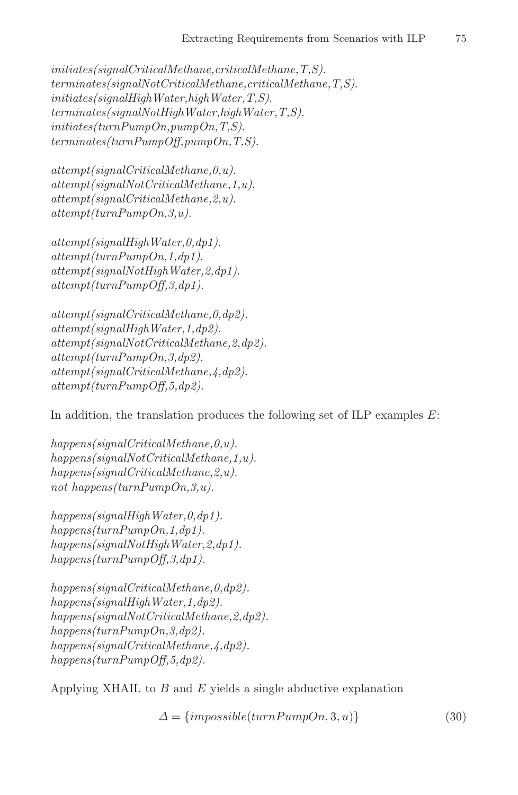$initiates(signal CriticalMethod, criticalMethod, Theorem 7.5).$  $terminates(signal Not CriticalMethod, criticalMethod, T, S).$  $initiates(signal High Water, highWater, T, S).$  $terminates/signal NotHighWater, highWater, T, S).$  $initiates(turnPumpOn,pumpOn,T,S).$  $terminates(turnPumpOff, pumpOn, T,S).$ 

```
attempt(signal CriticalMethod.0, u).attempt(signal Not CriticalMethod,1,u).attempt(signalCriticalMethane,2,u).
attempt(turnPumpOn,3,u).
```
 $attempt/signalHighWater, 0, dp1).$  $attempt(turnPumpOn.1,dp1).$  $attempt(signalNotHighWater, 2, dp1).$  $attempt(turnPumpOff,3,dp1).$ 

```
attempt(signalCriticalMethane,0,dp2).
attempt(signalHighWater,1,dp2).attempt(signalNotCriticalMethane,2,dp2).
attempt(turnPumpOn,3,dp2).
attempt(signalCriticalMethane,4,dp2).
attempt(turnPumpOff,5,dp2).
```
In addition, the translation produces the following set of ILP examples  $E$ :

```
happens(signal CriticalMethod,0,u).happens(signalNotCriticalMethane,1,u).
happens(signalCriticalMethane,2,u).
not happens(turnPumpOn,3,u).
```
 $happens(signal High Water, 0, dp1).$ happens(turnPumpOn,1,dp1).  $happens(signalNotHighWater, 2, dp1).$  $happens(turnPumpOff,3,dp1).$ 

happens(signalCriticalMethane,0,dp2). happens(signalHighWater,1,dp2). happens(signalNotCriticalMethane,2,dp2). happens(turnPumpOn,3,dp2). happens(signalCriticalMethane,  $\angle$ , dp2). happens(turnPumpOff,5,dp2).

Applying XHAIL to  $B$  and  $E$  yields a single abductive explanation

$$
\Delta = \{impossible(turnPumpOn, 3, u)\}\tag{30}
$$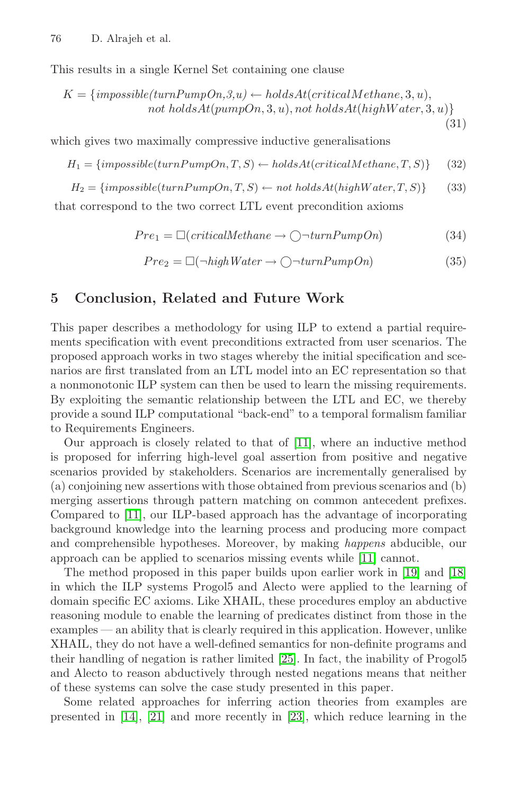This results in a single Kernel Set containing one clause

$$
K = \{impossible(turnPumpOn, 3, u) \leftarrow holdsAt(criticalMethod, 3, u),not holdsAt(pumpOn, 3, u), not holdsAt(highWater, 3, u)\}\
$$
(31)

which gives two maximally compressive inductive generalisations

 $H_1 = \{impossible(turnPumpOn, T, S) \leftarrow holdsAt(criticalMethod, T, S) \}$  (32)

$$
H_2 = \{impossible(turnPumpOn, T, S) \leftarrow not holdsAt(highWater, T, S)\}
$$
 (33)

that correspond to the two correct LTL event precondition axioms

$$
Pre_1 = \Box (criticalMethod the \rightarrow \bigcirc \neg turnPumpOn) \tag{34}
$$

$$
Pre_2 = \Box(\neg highWater \to \bigcirc \neg turnPumpOn) \tag{35}
$$

#### **5 Conclusion, Related and Future Work**

This paper describes a met[hod](#page-14-9)ology for using ILP to extend a partial requirements specification with event preconditions extracted from user scenarios. The proposed approach works in two stages whereby the initial specification and scenarios are first translated from an LTL model into an EC representation so that a nonmonotonic ILP system can then be used to learn the missing requirements. By exploiting the semantic relationship between the LTL and EC, we thereby provide a sound ILP computational "back-end" to a temporal formalism familiar to Requirements Engineers.

Our approach is closely related to t[hat](#page-14-9) of [11], where an inductive method is proposed for inferring high-level goal asserti[on](#page-14-10) from [pos](#page-14-11)itive and negative scenarios provided by stakeholders. Scenarios are incrementally generalised by (a) conjoining new assertions with those obtained from previous scenarios and (b) merging assertions through pattern matching on common antecedent prefixes. Compared to [11], our ILP-based approach has the advantage of incorporating background knowledge into the learning process and producing more compact and comprehensible hyp[oth](#page-14-2)eses. Moreover, by making happens abducible, our approach can be applied to scenarios missing events while [11] cannot.

The method proposed in this paper builds upon earlier work in [19] and [18] in which the ILP systems Progol5 and Alecto were applied to the learning of [dom](#page-14-12)ain specific EC axiom[s. L](#page-14-13)ike XHAIL, these procedures employ an abductive reasoning module to enable the learning of predicates distinct from those in the examples — an ability that is clearly required in this application. However, unlike XHAIL, they do not have a well-defined semantics for non-definite programs and their handling of negation is rather limited [25]. In fact, the inability of Progol5 and Alecto to reason abductively through nested negations means that neither of these systems can solve the case study presented in this paper.

Some related approaches for inferring action theories from examples are presented in [14], [21] and more recently in [23], which reduce learning in the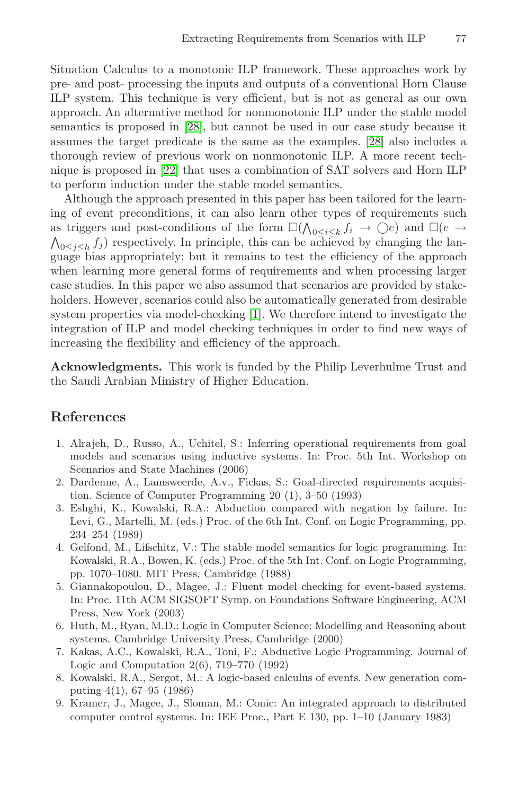Si[tua](#page-14-14)tion Calculus to a monotonic ILP framework. These approaches work by pre- and post- processing the inputs and outputs of a conventional Horn Clause ILP system. This technique is very efficient, but is not as general as our own approach. An alternative method for nonmonotonic ILP under the stable model semantics is proposed in [28], but cannot be used in our case study because it assumes the target predicate is the same as the examples. [28] also includes a thorough review of previous work on nonmonotonic ILP. A more recent technique is proposed in [22] that uses a combination of SAT solvers and Horn ILP to perform induction under the stable model semantics.

Although the ap[pro](#page-13-4)ach presented in this paper has been tailored for the learning of event preconditions, it can also learn other types of requirements such as triggers and post-conditions of the form  $\square(\bigwedge_{0\leq i\leq k}f_i\rightarrow\bigcirc e)$  and  $\square(e\rightarrow\bigwedge e)$  $\bigwedge_{0 \leq j \leq h} f_j$ ) respectively. In principle, this can be achieved by changing the language bias appropriately; but it remains to test the efficiency of the approach when learning more general forms of requirements and when processing larger case studies. In this paper we also assumed that scenarios are provided by stakeholders. However, scenarios could also be automatically generated from desirable system properties via model-checking [1]. We therefore intend to investigate the integration of ILP and model checking techniques in order to find new ways of increasing the flexibility and efficiency of the approach.

<span id="page-13-4"></span><span id="page-13-2"></span>**Acknowledgments.** This work is funded by the Philip Leverhulme Trust and the Saudi Arabian Ministry of Higher Education.

### <span id="page-13-0"></span>**References**

- 1. Alrajeh, D., Russo, A., Uchitel, S.: Inferring operational requirements from goal models and scenarios using inductive systems. In: Proc. 5th Int. Workshop on Scenarios and State Machines (2006)
- 2. Dardenne, A., Lamsweerde, A.v., Fickas, S.: Goal-directed requirements acquisition. Science of Computer Programming 20 (1), 3–50 (1993)
- 3. Eshghi, K., Kowalski, R.A.: Abduction compared with negation by failure. In: Levi, G., Martelli, M. (eds.) Proc. of the 6th Int. Conf. on Logic Programming, pp. 234–254 (1989)
- <span id="page-13-1"></span>4. Gelfond, M., Lifschitz, V.: The stable model semantics for logic programming. In: Kowalski, R.A., Bowen, K. (eds.) Proc. of the 5th Int. Conf. on Logic Programming, pp. 1070–1080. MIT Press, Cambridge (1988)
- <span id="page-13-3"></span>5. Giannakopoulou, D., Magee, J.: Fluent model checking for event-based systems. In: Proc. 11th ACM SIGSOFT Symp. on Foundations Software Engineering, ACM Press, New York (2003)
- 6. Huth, M., Ryan, M.D.: Logic in Computer Science: Modelling and Reasoning about systems. Cambridge University Press, Cambridge (2000)
- 7. Kakas, A.C., Kowalski, R.A., Toni, F.: Abductive Logic Programming. Journal of Logic and Computation 2(6), 719–770 (1992)
- 8. Kowalski, R.A., Sergot, M.: A logic-based calculus of events. New generation computing 4(1), 67–95 (1986)
- 9. Kramer, J., Magee, J., Sloman, M.: Conic: An integrated approach to distributed computer control systems. In: IEE Proc., Part E 130, pp. 1–10 (January 1983)